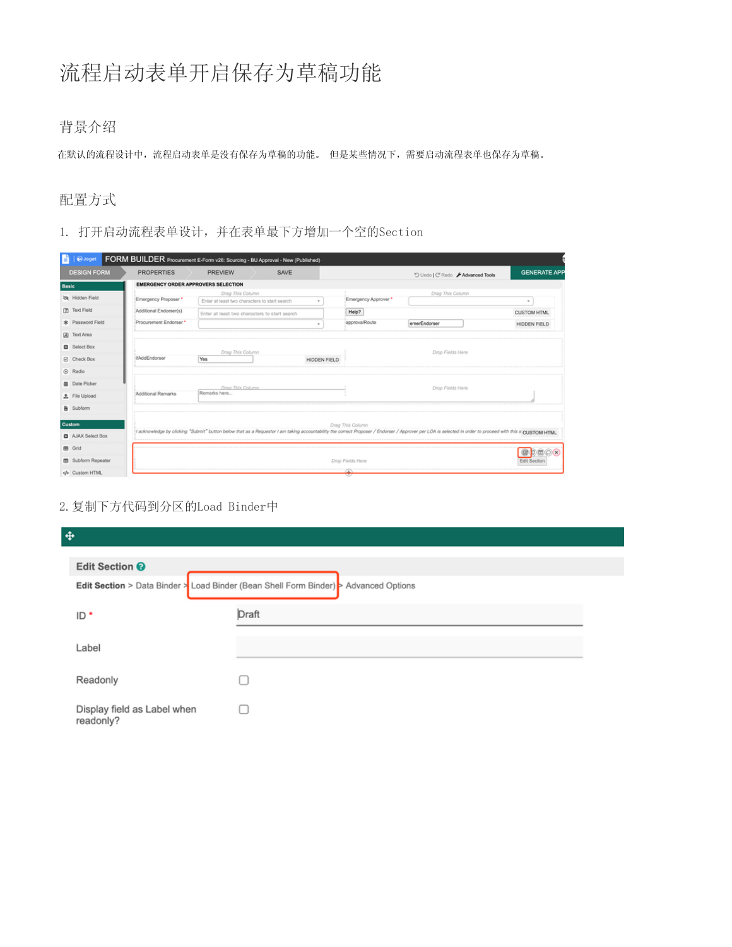# 流程启动表单开启保存为草稿功能

## 背景介绍

在默认的流程设计中,流程启动表单是没有保存为草稿的功能。 但是某些情况下,需要启动流程表单也保存为草稿。

## 配置方式

1. 打开启动流程表单设计,并在表单最下方增加一个空的Section

| $\bigcirc$ Joget<br>6.     | FORM BUILDER Procurement E-Form v26: Sourcing - BU Approval - New (Published) |                  |                                               |              |                    |                                                                                                                                                                                                             |                            |
|----------------------------|-------------------------------------------------------------------------------|------------------|-----------------------------------------------|--------------|--------------------|-------------------------------------------------------------------------------------------------------------------------------------------------------------------------------------------------------------|----------------------------|
| <b>DESIGN FORM</b>         | <b>PROPERTIES</b>                                                             | <b>PREVIEW</b>   | SAVE                                          |              |                    | "O Undo   C' Redo / Advanced Tools                                                                                                                                                                          | <b>GENERATE APF</b>        |
| <b>Basic</b>               | <b>EMERGENCY ORDER APPROVERS SELECTION</b>                                    |                  |                                               |              |                    |                                                                                                                                                                                                             |                            |
| Nidden Field               | Emergency Proposer *                                                          | Drag This Column | Enter at least two characters to start search |              | Emergency Approver | Drag This Column                                                                                                                                                                                            | ٠                          |
| [7] Text Field             | Additional Endorser(s)                                                        |                  | Enter at least two characters to start search |              | Help?              |                                                                                                                                                                                                             | <b>CUSTOM HTML</b>         |
| * Password Field           | Procurement Endorser *                                                        |                  |                                               | $\mathbf{r}$ | approvalRoute      | emerEndorser                                                                                                                                                                                                | <b>HIDDEN FIELD</b>        |
| A Text Area                |                                                                               |                  |                                               |              |                    |                                                                                                                                                                                                             |                            |
| Select Box                 |                                                                               | Drag This Column |                                               |              |                    | Drop Fields Here                                                                                                                                                                                            |                            |
| <b>E</b> Check Box         | <b>IfAddEndorser</b>                                                          | Yes              |                                               | HIDDEN FIELD |                    |                                                                                                                                                                                                             |                            |
| to Radio                   |                                                                               |                  |                                               |              |                    |                                                                                                                                                                                                             |                            |
| <b>自 Date Picker</b>       |                                                                               | Drag This Column |                                               |              |                    | Drop Fields Here                                                                                                                                                                                            |                            |
| 土 File Upload              | Additional Remarks                                                            | Remarks here     |                                               |              |                    |                                                                                                                                                                                                             |                            |
| <b>B</b> Subform           |                                                                               |                  |                                               |              |                    |                                                                                                                                                                                                             |                            |
| Custom                     |                                                                               |                  |                                               |              | Drag This Column   |                                                                                                                                                                                                             |                            |
| AJAX Select Box            |                                                                               |                  |                                               |              |                    | 1 acknowledge by clicking "Submit" button below that as a Requestor I am taking accountability the correct Proposer / Endorser / Approver per LOA is selected in order to proceed with this s/p:us/row HYML |                            |
| 田 Grid                     |                                                                               |                  |                                               |              |                    |                                                                                                                                                                                                             |                            |
| <b>EB</b> Subform Repeater |                                                                               |                  |                                               |              | Drop Fields Here   |                                                                                                                                                                                                             | <b>EDO</b><br>Edit Section |
| Oustom HTML                |                                                                               |                  |                                               |              | ▽                  |                                                                                                                                                                                                             |                            |

2.复制下方代码到分区的Load Binder中

| $\ddot{\Phi}$                                                                        |       |  |  |  |  |  |
|--------------------------------------------------------------------------------------|-------|--|--|--|--|--|
| Edit Section <sup>®</sup>                                                            |       |  |  |  |  |  |
| Edit Section > Data Binder > Load Binder (Bean Shell Form Binder) > Advanced Options |       |  |  |  |  |  |
| $ID^*$                                                                               | Draft |  |  |  |  |  |
| Label                                                                                |       |  |  |  |  |  |
| Readonly                                                                             | O     |  |  |  |  |  |
| Display field as Label when<br>readonly?                                             |       |  |  |  |  |  |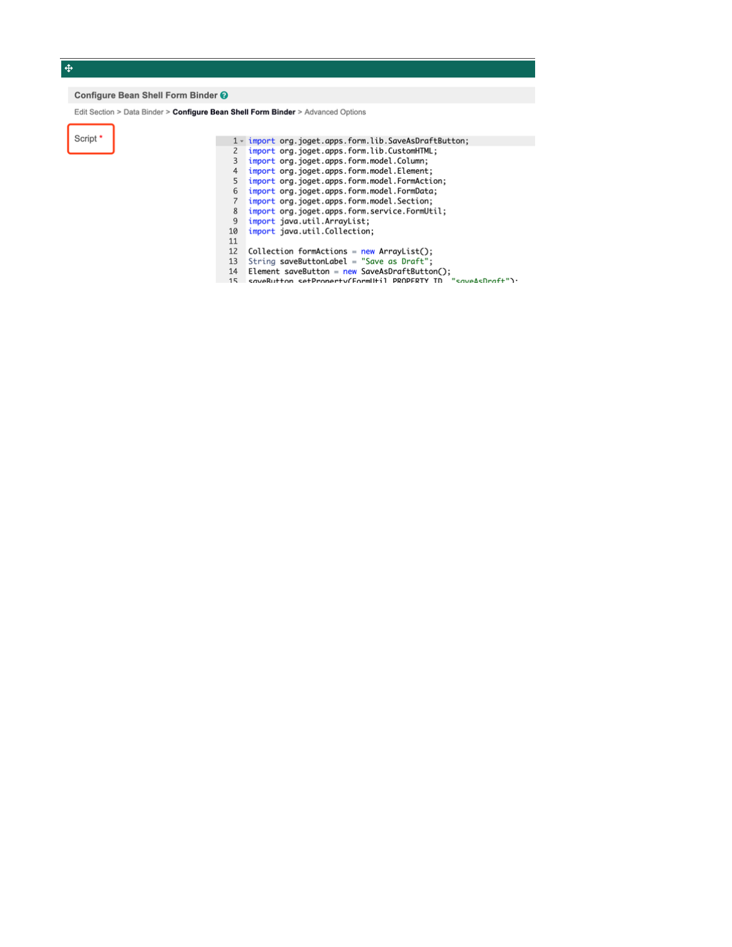### $\spadesuit$

#### Configure Bean Shell Form Binder @

Edit Section > Data Binder > Configure Bean Shell Form Binder > Advanced Options

Script  $^{\star}$ 

|    | 1 - import org.joget.apps.form.lib.SaveAsDraftButton;                      |
|----|----------------------------------------------------------------------------|
| 2  | import org.joget.apps.form.lib.CustomHTML;                                 |
| 3  | import org.joget.apps.form.model.Column;                                   |
| 4  | import org.joget.apps.form.model.Element;                                  |
| 5  | import org.joget.apps.form.model.FormAction;                               |
| 6  | import org.joget.apps.form.model.FormData;                                 |
| 7  | import org.joget.apps.form.model.Section;                                  |
| 8  | import org.joget.apps.form.service.FormUtil;                               |
| 9  | import java.util.ArrayList;                                                |
| 10 | import java.util.Collection;                                               |
| 11 |                                                                            |
| 12 | $Collection$ formActions = new ArrayList();                                |
| 13 | String saveButtonLabel = "Save as Draft";                                  |
| 14 | Element saveButton = $new$ SaveAsDraftButton();                            |
| 15 | saveRutton setPronerty(FormlItil<br>$"$ cave $\Lambda$ cDraft" $\lambda$ . |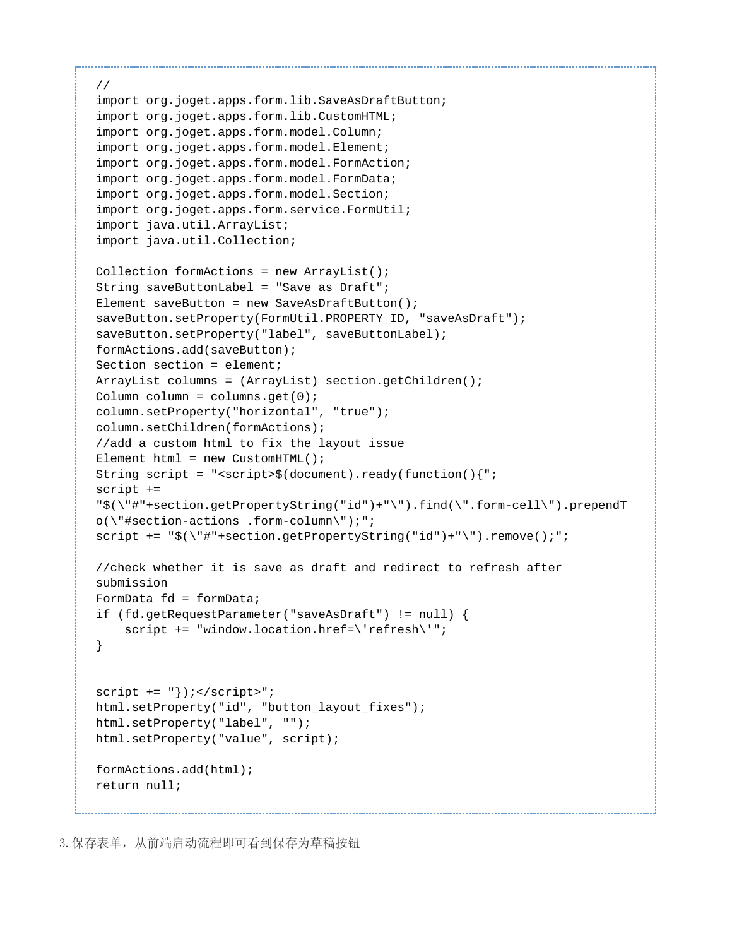```
// 
import org.joget.apps.form.lib.SaveAsDraftButton;
import org.joget.apps.form.lib.CustomHTML;
import org.joget.apps.form.model.Column;
import org.joget.apps.form.model.Element;
import org.joget.apps.form.model.FormAction;
import org.joget.apps.form.model.FormData;
import org.joget.apps.form.model.Section;
import org.joget.apps.form.service.FormUtil;
import java.util.ArrayList;
import java.util.Collection;
Collection formActions = new ArrayList();
String saveButtonLabel = "Save as Draft";
Element saveButton = new SaveAsDraftButton();
saveButton.setProperty(FormUtil.PROPERTY_ID, "saveAsDraft");
saveButton.setProperty("label", saveButtonLabel);
formActions.add(saveButton);
Section section = element;
ArrayList columns = (ArrayList) section.getChildren();
Column column = \text{columns.get}(0);column.setProperty("horizontal", "true");
column.setChildren(formActions);
//add a custom html to fix the layout issue
Element html = new CustomHTML();
String script = "<script>$(document).ready(function(){";
script +=
"$(\"#"+section.getPropertyString("id")+"\").find(\".form-cell\").prependT
o(\"#section-actions .form-column\");";
script += "$(\"#"+section.getPropertyString("id")+"\").remove();";
//check whether it is save as draft and redirect to refresh after
submission
FormData fd = formData;
if (fd.getRequestParameter("saveAsDraft") != null) {
     script += "window.location.href=\'refresh\'";
}
script += "\}); </script>";
html.setProperty("id", "button_layout_fixes");
html.setProperty("label", "");
html.setProperty("value", script);
formActions.add(html);
return null;
```
3.保存表单,从前端启动流程即可看到保存为草稿按钮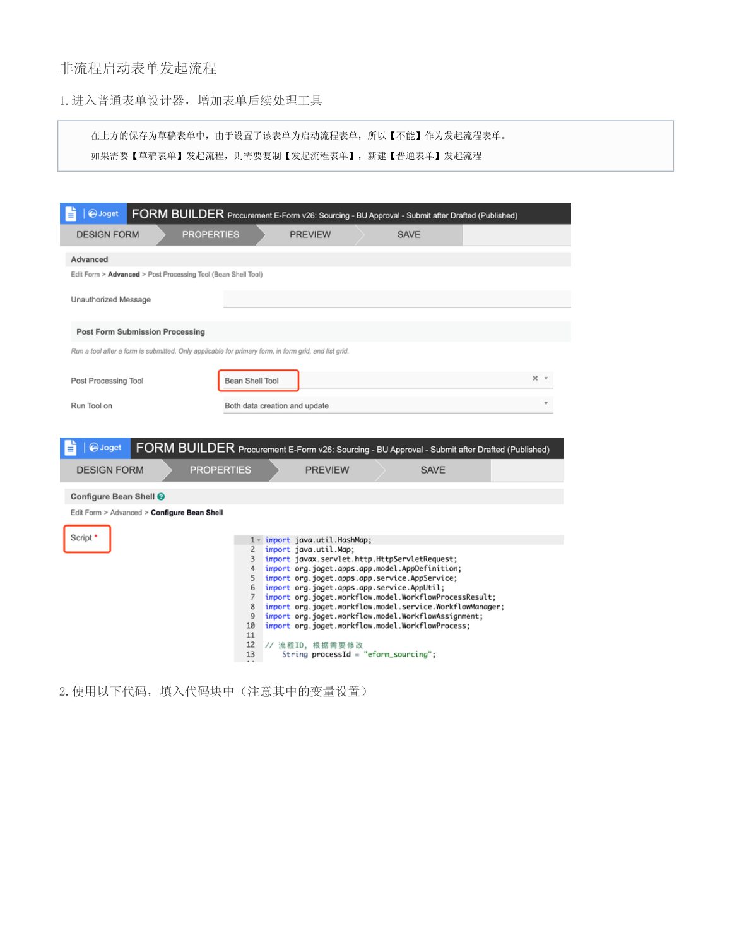## 非流程启动表单发起流程

1.进入普通表单设计器,增加表单后续处理工具

在上方的保存为草稿表单中,由于设置了该表单为启动流程表单,所以【不能】作为发起流程表单。

如果需要【草稿表单】发起流程,则需要复制【发起流程表单】,新建【普通表单】发起流程

| <b>O</b> Joget<br>FORM BUILDER Procurement E-Form v26: Sourcing - BU Approval - Submit after Drafted (Published)<br>€                               |                                                              |                                                                                                                                                                                                                                                                                                                                                                                                                                                                                                                                                      |  |             |  |                   |  |  |
|-----------------------------------------------------------------------------------------------------------------------------------------------------|--------------------------------------------------------------|------------------------------------------------------------------------------------------------------------------------------------------------------------------------------------------------------------------------------------------------------------------------------------------------------------------------------------------------------------------------------------------------------------------------------------------------------------------------------------------------------------------------------------------------------|--|-------------|--|-------------------|--|--|
| <b>DESIGN FORM</b><br><b>PROPERTIES</b>                                                                                                             |                                                              | <b>PREVIEW</b>                                                                                                                                                                                                                                                                                                                                                                                                                                                                                                                                       |  | <b>SAVE</b> |  |                   |  |  |
| Advanced                                                                                                                                            |                                                              |                                                                                                                                                                                                                                                                                                                                                                                                                                                                                                                                                      |  |             |  |                   |  |  |
| Edit Form > Advanced > Post Processing Tool (Bean Shell Tool)                                                                                       |                                                              |                                                                                                                                                                                                                                                                                                                                                                                                                                                                                                                                                      |  |             |  |                   |  |  |
| Unauthorized Message                                                                                                                                |                                                              |                                                                                                                                                                                                                                                                                                                                                                                                                                                                                                                                                      |  |             |  |                   |  |  |
| <b>Post Form Submission Processing</b>                                                                                                              |                                                              |                                                                                                                                                                                                                                                                                                                                                                                                                                                                                                                                                      |  |             |  |                   |  |  |
| Run a tool after a form is submitted. Only applicable for primary form, in form grid, and list grid.                                                |                                                              |                                                                                                                                                                                                                                                                                                                                                                                                                                                                                                                                                      |  |             |  |                   |  |  |
| Post Processing Tool                                                                                                                                | Bean Shell Tool                                              |                                                                                                                                                                                                                                                                                                                                                                                                                                                                                                                                                      |  |             |  | $\times$ $\times$ |  |  |
| Run Tool on                                                                                                                                         | Both data creation and update                                |                                                                                                                                                                                                                                                                                                                                                                                                                                                                                                                                                      |  |             |  |                   |  |  |
| FORM BUILDER Procurement E-Form v26: Sourcing - BU Approval - Submit after Drafted (Published)<br>OJoget<br><b>PROPERTIES</b><br><b>DESIGN FORM</b> |                                                              | <b>PREVIEW</b>                                                                                                                                                                                                                                                                                                                                                                                                                                                                                                                                       |  | <b>SAVE</b> |  |                   |  |  |
| Configure Bean Shell <sup>@</sup><br>Edit Form > Advanced > Configure Bean Shell                                                                    |                                                              |                                                                                                                                                                                                                                                                                                                                                                                                                                                                                                                                                      |  |             |  |                   |  |  |
| Script <sup>*</sup>                                                                                                                                 | 2<br>3<br>4<br>5<br>6<br>7<br>8<br>9<br>10<br>11<br>12<br>13 | 1 - import java.util.HashMap;<br>import java.util.Map;<br>import javax.servlet.http.HttpServletRequest;<br>import org.joget.apps.app.model.AppDefinition;<br>import org.joget.apps.app.service.AppService;<br>import org.joget.apps.app.service.AppUtil;<br>import org.joget.workflow.model.WorkflowProcessResult;<br>import org.joget.workflow.model.service.WorkflowManager;<br>import org.joget.workflow.model.WorkflowAssignment;<br>import org.joget.workflow.model.WorkflowProcess;<br>// 流程ID, 根据需要修改<br>String processId = "eform_sourcing"; |  |             |  |                   |  |  |

2.使用以下代码,填入代码块中(注意其中的变量设置)